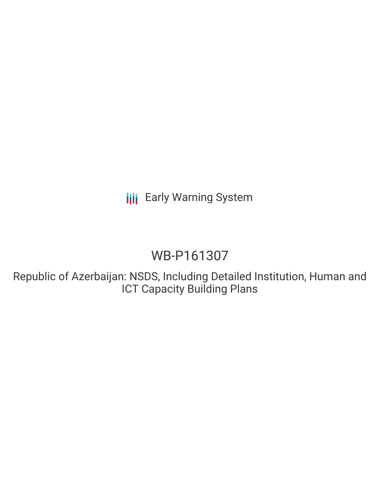**III** Early Warning System

# WB-P161307

Republic of Azerbaijan: NSDS, Including Detailed Institution, Human and ICT Capacity Building Plans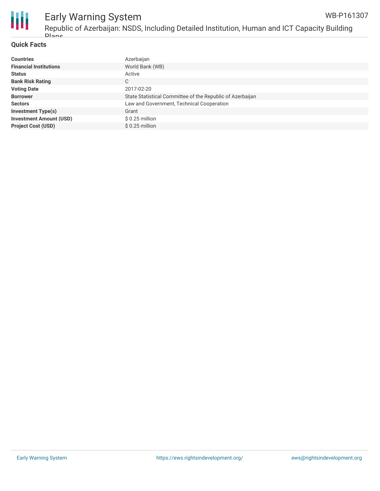

#### **Quick Facts**

| <b>Countries</b>               | Azerbaijan                                                |
|--------------------------------|-----------------------------------------------------------|
| <b>Financial Institutions</b>  | World Bank (WB)                                           |
| <b>Status</b>                  | Active                                                    |
| <b>Bank Risk Rating</b>        | С                                                         |
| <b>Voting Date</b>             | 2017-02-20                                                |
| <b>Borrower</b>                | State Statistical Committee of the Republic of Azerbaijan |
| <b>Sectors</b>                 | Law and Government, Technical Cooperation                 |
| <b>Investment Type(s)</b>      | Grant                                                     |
| <b>Investment Amount (USD)</b> | $$0.25$ million                                           |
| <b>Project Cost (USD)</b>      | \$0.25 million                                            |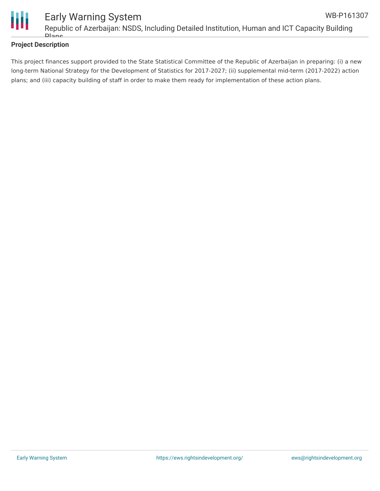

#### **Project Description**

This project finances support provided to the State Statistical Committee of the Republic of Azerbaijan in preparing: (i) a new long-term National Strategy for the Development of Statistics for 2017-2027; (ii) supplemental mid-term (2017-2022) action plans; and (iii) capacity building of staff in order to make them ready for implementation of these action plans.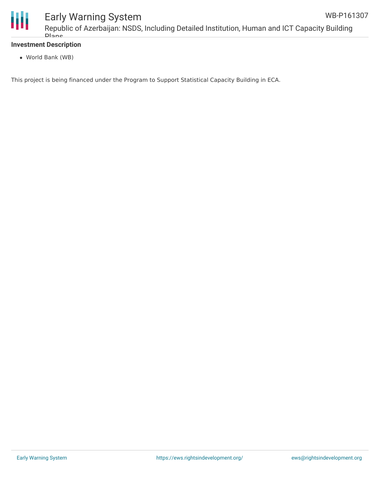

## Early Warning System

Republic of Azerbaijan: NSDS, Including Detailed Institution, Human and ICT Capacity Building Plans

#### **Investment Description**

World Bank (WB)

This project is being financed under the Program to Support Statistical Capacity Building in ECA.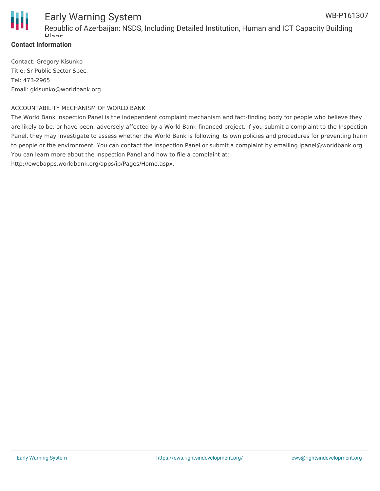

#### **Contact Information**

Contact: Gregory Kisunko Title: Sr Public Sector Spec. Tel: 473-2965 Email: gkisunko@worldbank.org

#### ACCOUNTABILITY MECHANISM OF WORLD BANK

The World Bank Inspection Panel is the independent complaint mechanism and fact-finding body for people who believe they are likely to be, or have been, adversely affected by a World Bank-financed project. If you submit a complaint to the Inspection Panel, they may investigate to assess whether the World Bank is following its own policies and procedures for preventing harm to people or the environment. You can contact the Inspection Panel or submit a complaint by emailing ipanel@worldbank.org. You can learn more about the Inspection Panel and how to file a complaint at: http://ewebapps.worldbank.org/apps/ip/Pages/Home.aspx.